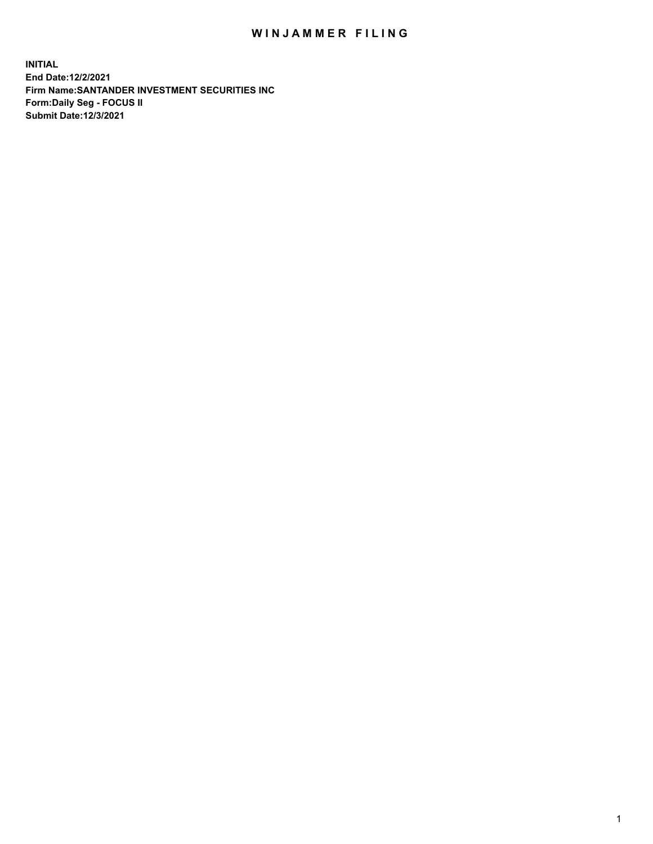## WIN JAMMER FILING

**INITIAL End Date:12/2/2021 Firm Name:SANTANDER INVESTMENT SECURITIES INC Form:Daily Seg - FOCUS II Submit Date:12/3/2021**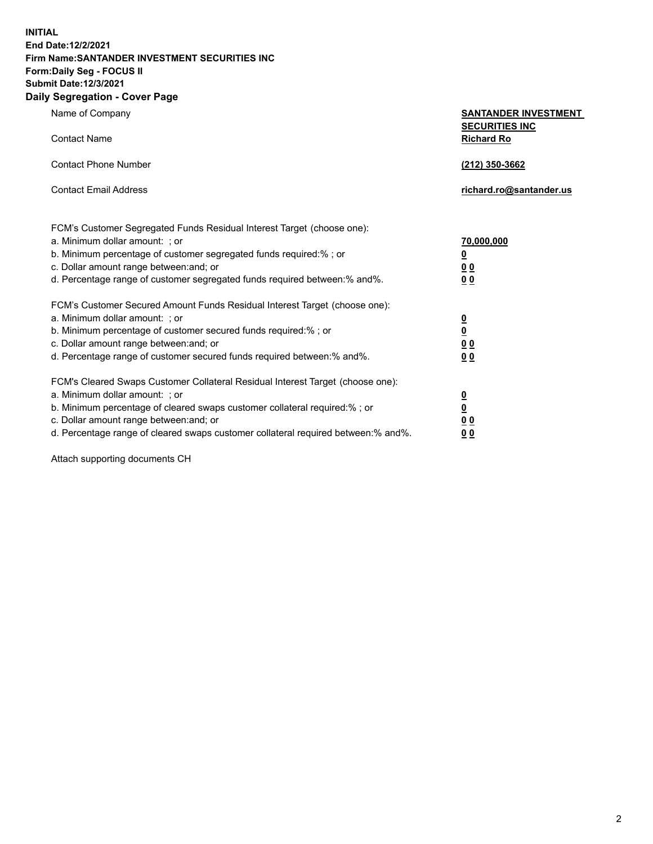**INITIAL End Date:12/2/2021 Firm Name:SANTANDER INVESTMENT SECURITIES INC Form:Daily Seg - FOCUS II Submit Date:12/3/2021 Daily Segregation - Cover Page**

| Name of Company                                                                     | <b>SANTANDER INVESTMENT</b><br><b>SECURITIES INC</b> |
|-------------------------------------------------------------------------------------|------------------------------------------------------|
| <b>Contact Name</b>                                                                 | <b>Richard Ro</b>                                    |
| <b>Contact Phone Number</b>                                                         | (212) 350-3662                                       |
| <b>Contact Email Address</b>                                                        | richard.ro@santander.us                              |
| FCM's Customer Segregated Funds Residual Interest Target (choose one):              |                                                      |
| a. Minimum dollar amount: ; or                                                      | 70,000,000                                           |
| b. Minimum percentage of customer segregated funds required:%; or                   | $\overline{\mathbf{0}}$                              |
| c. Dollar amount range between: and; or                                             | 0 <sub>0</sub>                                       |
| d. Percentage range of customer segregated funds required between:% and%.           | 0 <sub>0</sub>                                       |
| FCM's Customer Secured Amount Funds Residual Interest Target (choose one):          |                                                      |
| a. Minimum dollar amount: ; or                                                      | $\overline{\mathbf{0}}$                              |
| b. Minimum percentage of customer secured funds required:%; or                      | $\underline{\mathbf{0}}$                             |
| c. Dollar amount range between: and; or                                             | 0 <sub>0</sub>                                       |
| d. Percentage range of customer secured funds required between: % and %.            | 0 <sub>0</sub>                                       |
| FCM's Cleared Swaps Customer Collateral Residual Interest Target (choose one):      |                                                      |
| a. Minimum dollar amount: ; or                                                      | $\frac{0}{0}$                                        |
| b. Minimum percentage of cleared swaps customer collateral required:% ; or          |                                                      |
| c. Dollar amount range between: and; or                                             | 0 <sub>0</sub>                                       |
| d. Percentage range of cleared swaps customer collateral required between: % and %. | 0 <sub>0</sub>                                       |

Attach supporting documents CH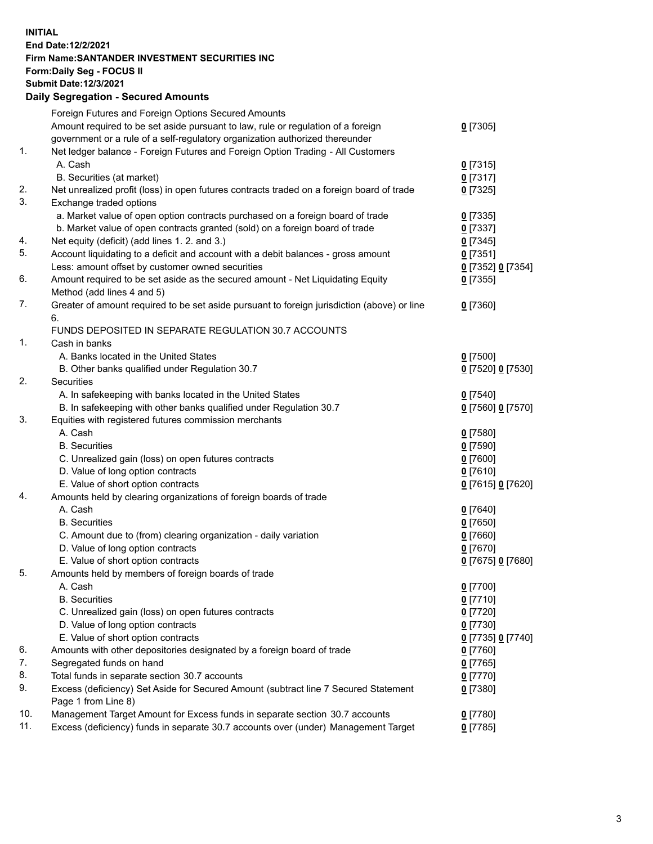**INITIAL End Date:12/2/2021 Firm Name:SANTANDER INVESTMENT SECURITIES INC Form:Daily Seg - FOCUS II Submit Date:12/3/2021 Daily Segregation - Secured Amounts**

|     | Foreign Futures and Foreign Options Secured Amounts                                         |                          |
|-----|---------------------------------------------------------------------------------------------|--------------------------|
|     | Amount required to be set aside pursuant to law, rule or regulation of a foreign            | $0$ [7305]               |
|     | government or a rule of a self-regulatory organization authorized thereunder                |                          |
| 1.  | Net ledger balance - Foreign Futures and Foreign Option Trading - All Customers             |                          |
|     | A. Cash                                                                                     | $0$ [7315]               |
|     | B. Securities (at market)                                                                   | $0$ [7317]               |
| 2.  | Net unrealized profit (loss) in open futures contracts traded on a foreign board of trade   | $0$ [7325]               |
| 3.  | Exchange traded options                                                                     |                          |
|     | a. Market value of open option contracts purchased on a foreign board of trade              | $0$ [7335]               |
|     | b. Market value of open contracts granted (sold) on a foreign board of trade                | $0$ [7337]               |
| 4.  | Net equity (deficit) (add lines 1. 2. and 3.)                                               | $0$ [7345]               |
| 5.  | Account liquidating to a deficit and account with a debit balances - gross amount           | $0$ [7351]               |
|     | Less: amount offset by customer owned securities                                            | 0 [7352] 0 [7354]        |
| 6.  | Amount required to be set aside as the secured amount - Net Liquidating Equity              | $0$ [7355]               |
|     | Method (add lines 4 and 5)                                                                  |                          |
| 7.  | Greater of amount required to be set aside pursuant to foreign jurisdiction (above) or line | $0$ [7360]               |
|     | 6.                                                                                          |                          |
|     | FUNDS DEPOSITED IN SEPARATE REGULATION 30.7 ACCOUNTS                                        |                          |
| 1.  | Cash in banks                                                                               |                          |
|     | A. Banks located in the United States                                                       | $0$ [7500]               |
|     | B. Other banks qualified under Regulation 30.7                                              | 0 [7520] 0 [7530]        |
| 2.  | Securities                                                                                  |                          |
|     | A. In safekeeping with banks located in the United States                                   | $0$ [7540]               |
|     | B. In safekeeping with other banks qualified under Regulation 30.7                          | 0 [7560] 0 [7570]        |
| 3.  | Equities with registered futures commission merchants                                       |                          |
|     | A. Cash                                                                                     | $0$ [7580]               |
|     | <b>B.</b> Securities                                                                        | $0$ [7590]               |
|     | C. Unrealized gain (loss) on open futures contracts                                         | $0$ [7600]               |
|     | D. Value of long option contracts                                                           | $0$ [7610]               |
|     | E. Value of short option contracts                                                          |                          |
| 4.  | Amounts held by clearing organizations of foreign boards of trade                           | 0 [7615] 0 [7620]        |
|     | A. Cash                                                                                     |                          |
|     | <b>B.</b> Securities                                                                        | $0$ [7640]<br>$0$ [7650] |
|     |                                                                                             |                          |
|     | C. Amount due to (from) clearing organization - daily variation                             | $0$ [7660]               |
|     | D. Value of long option contracts                                                           | $0$ [7670]               |
| 5.  | E. Value of short option contracts                                                          | 0 [7675] 0 [7680]        |
|     | Amounts held by members of foreign boards of trade                                          |                          |
|     | A. Cash                                                                                     | 0 [7700]                 |
|     | <b>B.</b> Securities                                                                        | $0$ [7710]               |
|     | C. Unrealized gain (loss) on open futures contracts                                         | $0$ [7720]               |
|     | D. Value of long option contracts                                                           | $0$ [7730]               |
|     | E. Value of short option contracts                                                          | 0 [7735] 0 [7740]        |
| 6.  | Amounts with other depositories designated by a foreign board of trade                      | $0$ [7760]               |
| 7.  | Segregated funds on hand                                                                    | $0$ [7765]               |
| 8.  | Total funds in separate section 30.7 accounts                                               | $0$ [7770]               |
| 9.  | Excess (deficiency) Set Aside for Secured Amount (subtract line 7 Secured Statement         | $0$ [7380]               |
|     | Page 1 from Line 8)                                                                         |                          |
| 10. | Management Target Amount for Excess funds in separate section 30.7 accounts                 | $0$ [7780]               |
| 11. | Excess (deficiency) funds in separate 30.7 accounts over (under) Management Target          | $0$ [7785]               |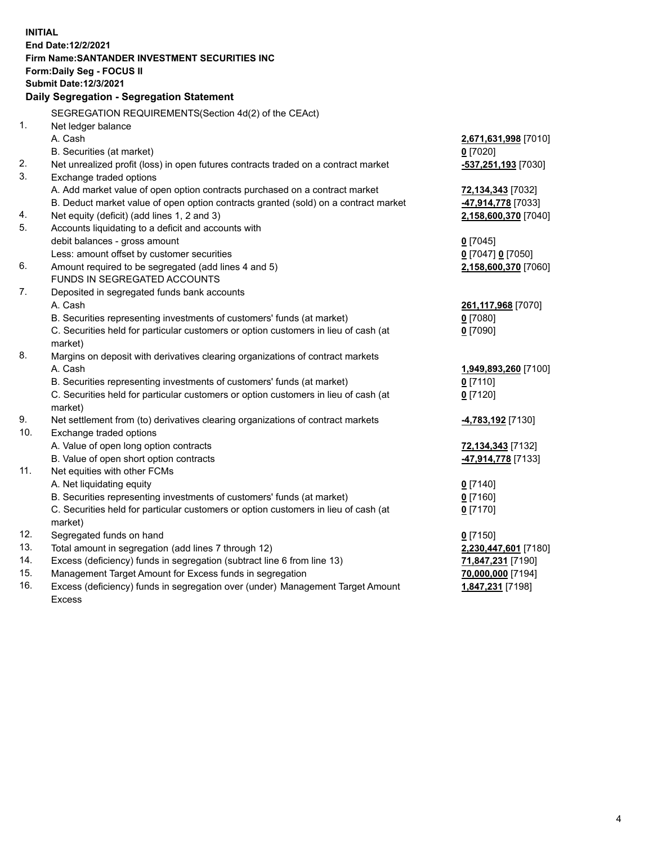| <b>INITIAL</b> |                                                                                     |                                         |  |  |  |  |
|----------------|-------------------------------------------------------------------------------------|-----------------------------------------|--|--|--|--|
|                | End Date: 12/2/2021                                                                 |                                         |  |  |  |  |
|                | Firm Name: SANTANDER INVESTMENT SECURITIES INC                                      |                                         |  |  |  |  |
|                | Form: Daily Seg - FOCUS II                                                          |                                         |  |  |  |  |
|                | <b>Submit Date:12/3/2021</b>                                                        |                                         |  |  |  |  |
|                | Daily Segregation - Segregation Statement                                           |                                         |  |  |  |  |
|                | SEGREGATION REQUIREMENTS(Section 4d(2) of the CEAct)                                |                                         |  |  |  |  |
| 1.             | Net ledger balance                                                                  |                                         |  |  |  |  |
|                | A. Cash                                                                             | 2,671,631,998 [7010]                    |  |  |  |  |
|                | B. Securities (at market)                                                           | $0$ [7020]                              |  |  |  |  |
| 2.             | Net unrealized profit (loss) in open futures contracts traded on a contract market  | -537,251,193 [7030]                     |  |  |  |  |
| 3.             | Exchange traded options                                                             |                                         |  |  |  |  |
|                | A. Add market value of open option contracts purchased on a contract market         | 72,134,343 [7032]                       |  |  |  |  |
|                | B. Deduct market value of open option contracts granted (sold) on a contract market | -47,914,778 [7033]                      |  |  |  |  |
| 4.             | Net equity (deficit) (add lines 1, 2 and 3)                                         | 2,158,600,370 [7040]                    |  |  |  |  |
| 5.             | Accounts liquidating to a deficit and accounts with                                 |                                         |  |  |  |  |
|                | debit balances - gross amount                                                       | $0$ [7045]                              |  |  |  |  |
|                | Less: amount offset by customer securities                                          | $0$ [7047] $0$ [7050]                   |  |  |  |  |
| 6.             | Amount required to be segregated (add lines 4 and 5)                                | 2,158,600,370 [7060]                    |  |  |  |  |
|                | FUNDS IN SEGREGATED ACCOUNTS                                                        |                                         |  |  |  |  |
| 7.             | Deposited in segregated funds bank accounts                                         |                                         |  |  |  |  |
|                | A. Cash                                                                             | 261,117,968 [7070]                      |  |  |  |  |
|                | B. Securities representing investments of customers' funds (at market)              | $0$ [7080]                              |  |  |  |  |
|                | C. Securities held for particular customers or option customers in lieu of cash (at | $0$ [7090]                              |  |  |  |  |
|                | market)                                                                             |                                         |  |  |  |  |
| 8.             | Margins on deposit with derivatives clearing organizations of contract markets      |                                         |  |  |  |  |
|                | A. Cash                                                                             | 1,949,893,260 [7100]                    |  |  |  |  |
|                | B. Securities representing investments of customers' funds (at market)              | $0$ [7110]                              |  |  |  |  |
|                | C. Securities held for particular customers or option customers in lieu of cash (at | $0$ [7120]                              |  |  |  |  |
|                | market)                                                                             |                                         |  |  |  |  |
| 9.<br>10.      | Net settlement from (to) derivatives clearing organizations of contract markets     | <b>-4,783,192</b> [7130]                |  |  |  |  |
|                | Exchange traded options<br>A. Value of open long option contracts                   |                                         |  |  |  |  |
|                | B. Value of open short option contracts                                             | 72,134,343 [7132]<br>-47,914,778 [7133] |  |  |  |  |
| 11.            | Net equities with other FCMs                                                        |                                         |  |  |  |  |
|                | A. Net liquidating equity                                                           | $0$ [7140]                              |  |  |  |  |
|                | B. Securities representing investments of customers' funds (at market)              | $0$ [7160]                              |  |  |  |  |
|                | C. Securities held for particular customers or option customers in lieu of cash (at | $0$ [7170]                              |  |  |  |  |
|                | market)                                                                             |                                         |  |  |  |  |
| 12.            | Segregated funds on hand                                                            | $0$ [7150]                              |  |  |  |  |
| 13.            | Total amount in segregation (add lines 7 through 12)                                | 2,230,447,601 [7180]                    |  |  |  |  |
| 14.            | Excess (deficiency) funds in segregation (subtract line 6 from line 13)             | 71,847,231 [7190]                       |  |  |  |  |
| 15.            | Management Target Amount for Excess funds in segregation                            | 70,000,000 [7194]                       |  |  |  |  |
| 16.            | Excess (deficiency) funds in segregation over (under) Management Target Amount      | 1,847,231 [7198]                        |  |  |  |  |
|                | <b>Excess</b>                                                                       |                                         |  |  |  |  |